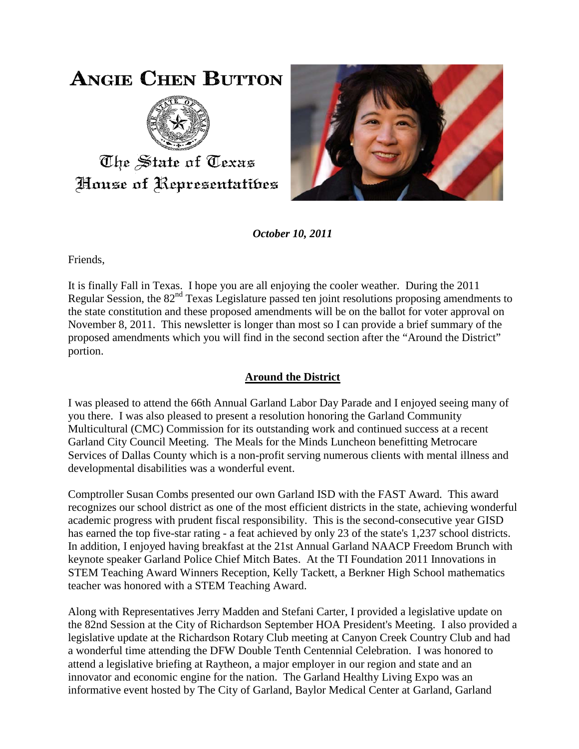# **ANGIE CHEN BUTTON**



The State of Texas House of Representatibes



*October 10, 2011*

Friends,

It is finally Fall in Texas. I hope you are all enjoying the cooler weather. During the 2011 Regular Session, the 82<sup>nd</sup> Texas Legislature passed ten joint resolutions proposing amendments to the state constitution and these proposed amendments will be on the ballot for voter approval on November 8, 2011. This newsletter is longer than most so I can provide a brief summary of the proposed amendments which you will find in the second section after the "Around the District" portion.

# **Around the District**

I was pleased to attend the 66th Annual Garland Labor Day Parade and I enjoyed seeing many of you there. I was also pleased to present a resolution honoring the Garland Community Multicultural (CMC) Commission for its outstanding work and continued success at a recent Garland City Council Meeting. The Meals for the Minds Luncheon benefitting Metrocare Services of Dallas County which is a non-profit serving numerous clients with mental illness and developmental disabilities was a wonderful event.

Comptroller Susan Combs presented our own Garland ISD with the FAST Award. This award recognizes our school district as one of the most efficient districts in the state, achieving wonderful academic progress with prudent fiscal responsibility. This is the second-consecutive year GISD has earned the top five-star rating - a feat achieved by only 23 of the state's 1,237 school districts. In addition, I enjoyed having breakfast at the 21st Annual Garland NAACP Freedom Brunch with keynote speaker Garland Police Chief Mitch Bates. At the TI Foundation 2011 Innovations in STEM Teaching Award Winners Reception, Kelly Tackett, a Berkner High School mathematics teacher was honored with a STEM Teaching Award.

Along with Representatives Jerry Madden and Stefani Carter, I provided a legislative update on the 82nd Session at the City of Richardson September HOA President's Meeting. I also provided a legislative update at the Richardson Rotary Club meeting at Canyon Creek Country Club and had a wonderful time attending the DFW Double Tenth Centennial Celebration. I was honored to attend a legislative briefing at Raytheon, a major employer in our region and state and an innovator and economic engine for the nation. The Garland Healthy Living Expo was an informative event hosted by The City of Garland, Baylor Medical Center at Garland, Garland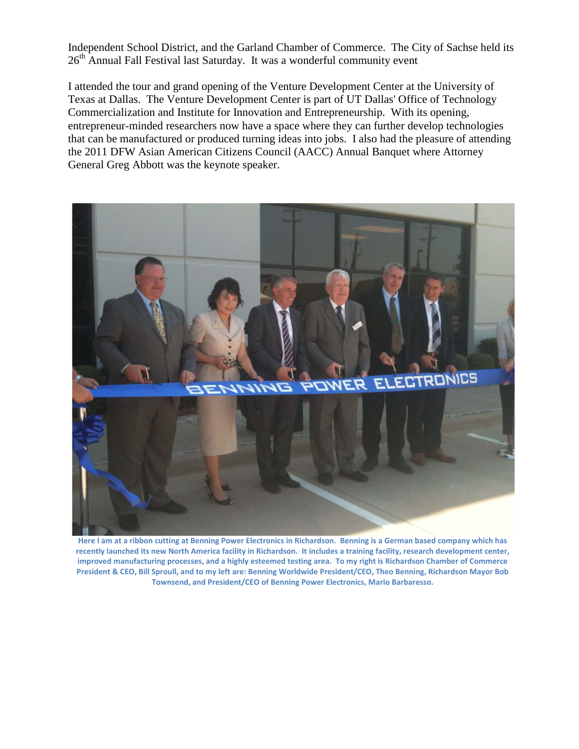Independent School District, and the Garland Chamber of Commerce. The City of Sachse held its 26<sup>th</sup> Annual Fall Festival last Saturday. It was a wonderful community event

I attended the tour and grand opening of the Venture Development Center at the University of Texas at Dallas. The Venture Development Center is part of UT Dallas' Office of Technology Commercialization and Institute for Innovation and Entrepreneurship. With its opening, entrepreneur-minded researchers now have a space where they can further develop technologies that can be manufactured or produced turning ideas into jobs. I also had the pleasure of attending the 2011 DFW Asian American Citizens Council (AACC) Annual Banquet where Attorney General Greg Abbott was the keynote speaker.



**Here I am at a ribbon cutting at Benning Power Electronics in Richardson. Benning is a German based company which has recently launched its new North America facility in Richardson. It includes a training facility, research development center, improved manufacturing processes, and a highly esteemed testing area. To my right is Richardson Chamber of Commerce President & CEO, Bill Sproull, and to my left are: Benning Worldwide President/CEO, Theo Benning, Richardson Mayor Bob Townsend, and President/CEO of Benning Power Electronics, Mario Barbaresso.**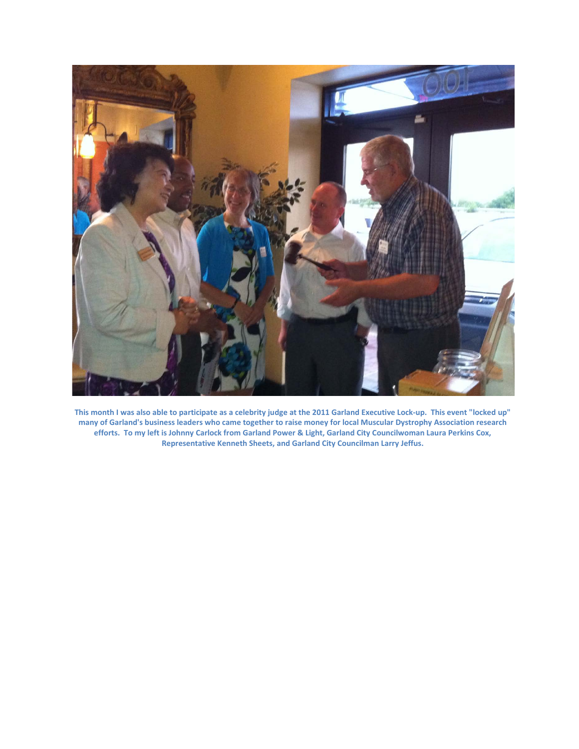

**This month I was also able to participate as a celebrity judge at the 2011 Garland Executive Lock-up. This event "locked up" many of Garland's business leaders who came together to raise money for local Muscular Dystrophy Association research efforts. To my left is Johnny Carlock from Garland Power & Light, Garland City Councilwoman Laura Perkins Cox, Representative Kenneth Sheets, and Garland City Councilman Larry Jeffus.**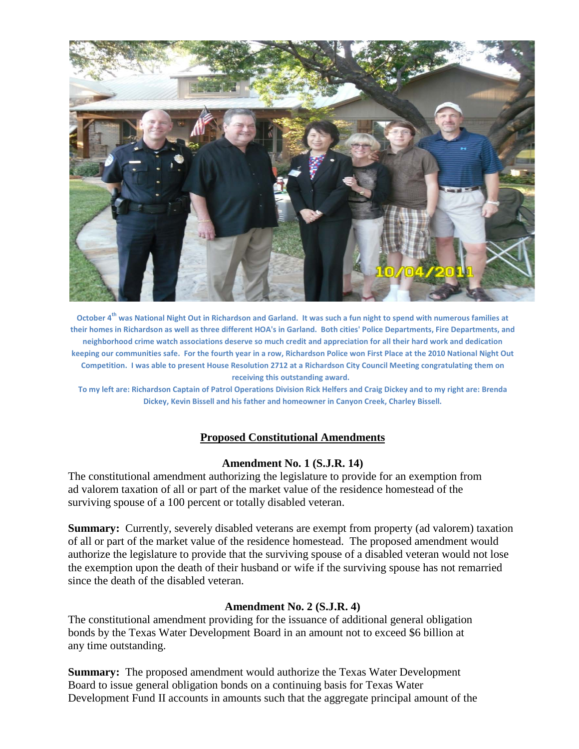

**October 4th was National Night Out in Richardson and Garland. It was such a fun night to spend with numerous families at their homes in Richardson as well as three different HOA's in Garland. Both cities' Police Departments, Fire Departments, and neighborhood crime watch associations deserve so much credit and appreciation for all their hard work and dedication keeping our communities safe. For the fourth year in a row, Richardson Police won First Place at the 2010 National Night Out Competition. I was able to present House Resolution 2712 at a Richardson City Council Meeting congratulating them on receiving this outstanding award.**

**To my left are: Richardson Captain of Patrol Operations Division Rick Helfers and Craig Dickey and to my right are: Brenda Dickey, Kevin Bissell and his father and homeowner in Canyon Creek, Charley Bissell.**

#### **Proposed Constitutional Amendments**

#### **Amendment No. 1 (S.J.R. 14)**

The constitutional amendment authorizing the legislature to provide for an exemption from ad valorem taxation of all or part of the market value of the residence homestead of the surviving spouse of a 100 percent or totally disabled veteran.

**Summary:** Currently, severely disabled veterans are exempt from property (ad valorem) taxation of all or part of the market value of the residence homestead. The proposed amendment would authorize the legislature to provide that the surviving spouse of a disabled veteran would not lose the exemption upon the death of their husband or wife if the surviving spouse has not remarried since the death of the disabled veteran.

#### **Amendment No. 2 (S.J.R. 4)**

The constitutional amendment providing for the issuance of additional general obligation bonds by the Texas Water Development Board in an amount not to exceed \$6 billion at any time outstanding.

**Summary:** The proposed amendment would authorize the Texas Water Development Board to issue general obligation bonds on a continuing basis for Texas Water Development Fund II accounts in amounts such that the aggregate principal amount of the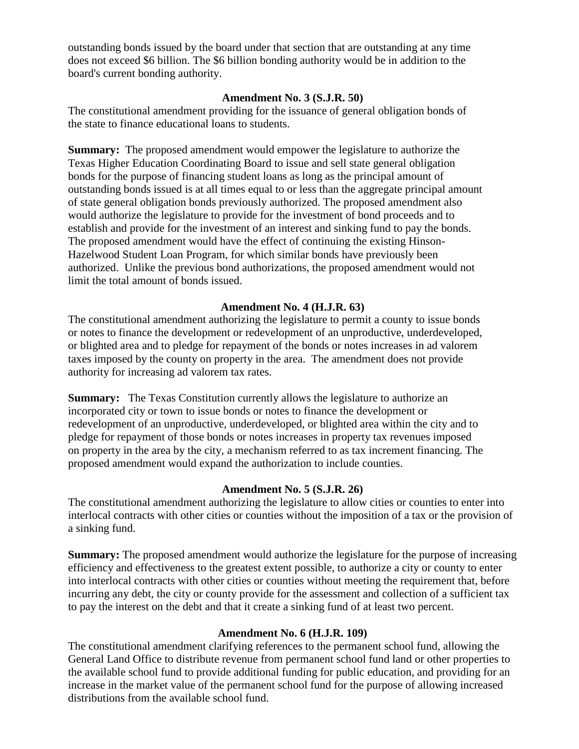outstanding bonds issued by the board under that section that are outstanding at any time does not exceed \$6 billion. The \$6 billion bonding authority would be in addition to the board's current bonding authority.

#### **Amendment No. 3 (S.J.R. 50)**

The constitutional amendment providing for the issuance of general obligation bonds of the state to finance educational loans to students.

**Summary:** The proposed amendment would empower the legislature to authorize the Texas Higher Education Coordinating Board to issue and sell state general obligation bonds for the purpose of financing student loans as long as the principal amount of outstanding bonds issued is at all times equal to or less than the aggregate principal amount of state general obligation bonds previously authorized. The proposed amendment also would authorize the legislature to provide for the investment of bond proceeds and to establish and provide for the investment of an interest and sinking fund to pay the bonds. The proposed amendment would have the effect of continuing the existing Hinson-Hazelwood Student Loan Program, for which similar bonds have previously been authorized. Unlike the previous bond authorizations, the proposed amendment would not limit the total amount of bonds issued.

#### **Amendment No. 4 (H.J.R. 63)**

The constitutional amendment authorizing the legislature to permit a county to issue bonds or notes to finance the development or redevelopment of an unproductive, underdeveloped, or blighted area and to pledge for repayment of the bonds or notes increases in ad valorem taxes imposed by the county on property in the area. The amendment does not provide authority for increasing ad valorem tax rates.

**Summary:** The Texas Constitution currently allows the legislature to authorize an incorporated city or town to issue bonds or notes to finance the development or redevelopment of an unproductive, underdeveloped, or blighted area within the city and to pledge for repayment of those bonds or notes increases in property tax revenues imposed on property in the area by the city, a mechanism referred to as tax increment financing. The proposed amendment would expand the authorization to include counties.

#### **Amendment No. 5 (S.J.R. 26)**

The constitutional amendment authorizing the legislature to allow cities or counties to enter into interlocal contracts with other cities or counties without the imposition of a tax or the provision of a sinking fund.

**Summary:** The proposed amendment would authorize the legislature for the purpose of increasing efficiency and effectiveness to the greatest extent possible, to authorize a city or county to enter into interlocal contracts with other cities or counties without meeting the requirement that, before incurring any debt, the city or county provide for the assessment and collection of a sufficient tax to pay the interest on the debt and that it create a sinking fund of at least two percent.

#### **Amendment No. 6 (H.J.R. 109)**

The constitutional amendment clarifying references to the permanent school fund, allowing the General Land Office to distribute revenue from permanent school fund land or other properties to the available school fund to provide additional funding for public education, and providing for an increase in the market value of the permanent school fund for the purpose of allowing increased distributions from the available school fund.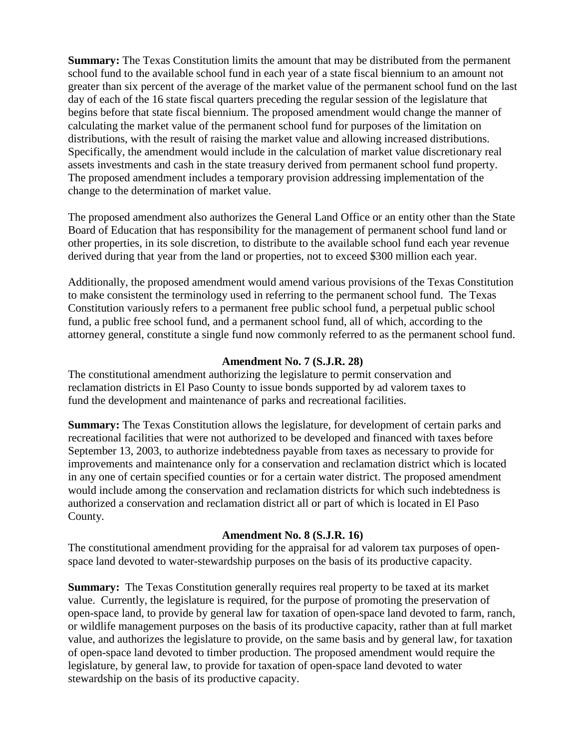**Summary:** The Texas Constitution limits the amount that may be distributed from the permanent school fund to the available school fund in each year of a state fiscal biennium to an amount not greater than six percent of the average of the market value of the permanent school fund on the last day of each of the 16 state fiscal quarters preceding the regular session of the legislature that begins before that state fiscal biennium. The proposed amendment would change the manner of calculating the market value of the permanent school fund for purposes of the limitation on distributions, with the result of raising the market value and allowing increased distributions. Specifically, the amendment would include in the calculation of market value discretionary real assets investments and cash in the state treasury derived from permanent school fund property. The proposed amendment includes a temporary provision addressing implementation of the change to the determination of market value.

The proposed amendment also authorizes the General Land Office or an entity other than the State Board of Education that has responsibility for the management of permanent school fund land or other properties, in its sole discretion, to distribute to the available school fund each year revenue derived during that year from the land or properties, not to exceed \$300 million each year.

Additionally, the proposed amendment would amend various provisions of the Texas Constitution to make consistent the terminology used in referring to the permanent school fund. The Texas Constitution variously refers to a permanent free public school fund, a perpetual public school fund, a public free school fund, and a permanent school fund, all of which, according to the attorney general, constitute a single fund now commonly referred to as the permanent school fund.

#### **Amendment No. 7 (S.J.R. 28)**

The constitutional amendment authorizing the legislature to permit conservation and reclamation districts in El Paso County to issue bonds supported by ad valorem taxes to fund the development and maintenance of parks and recreational facilities.

**Summary:** The Texas Constitution allows the legislature, for development of certain parks and recreational facilities that were not authorized to be developed and financed with taxes before September 13, 2003, to authorize indebtedness payable from taxes as necessary to provide for improvements and maintenance only for a conservation and reclamation district which is located in any one of certain specified counties or for a certain water district. The proposed amendment would include among the conservation and reclamation districts for which such indebtedness is authorized a conservation and reclamation district all or part of which is located in El Paso County.

## **Amendment No. 8 (S.J.R. 16)**

The constitutional amendment providing for the appraisal for ad valorem tax purposes of openspace land devoted to water-stewardship purposes on the basis of its productive capacity.

**Summary:** The Texas Constitution generally requires real property to be taxed at its market value.Currently, the legislature is required, for the purpose of promoting the preservation of open-space land, to provide by general law for taxation of open-space land devoted to farm, ranch, or wildlife management purposes on the basis of its productive capacity, rather than at full market value, and authorizes the legislature to provide, on the same basis and by general law, for taxation of open-space land devoted to timber production. The proposed amendment would require the legislature, by general law, to provide for taxation of open-space land devoted to water stewardship on the basis of its productive capacity.